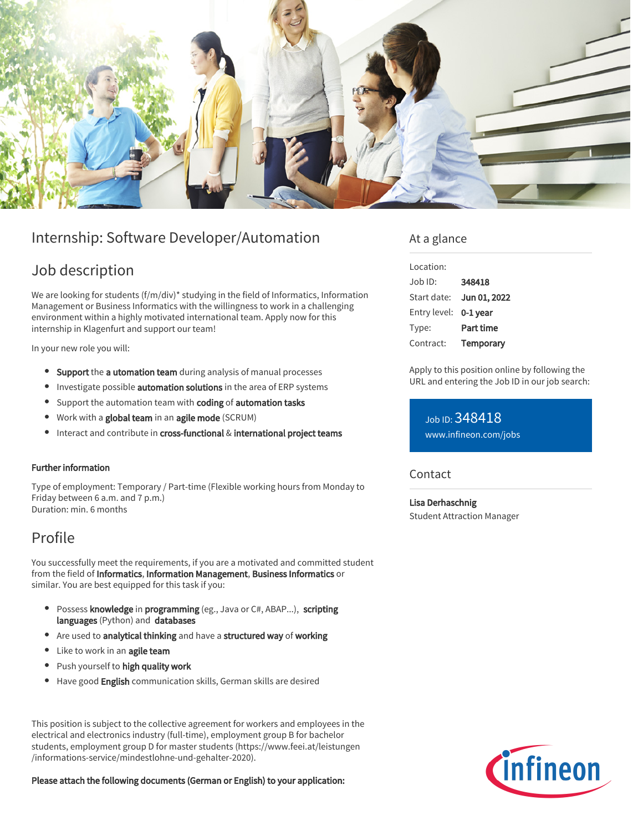

# Internship: Software Developer/Automation

## Job description

We are looking for students (f/m/div)\* studying in the field of Informatics, Information Management or Business Informatics with the willingness to work in a challenging environment within a highly motivated international team. Apply now for this internship in Klagenfurt and support our team!

In your new role you will:

- **Support** the **a utomation team** during analysis of manual processes
- **•** Investigate possible **automation solutions** in the area of ERP systems
- Support the automation team with coding of automation tasks
- Work with a global team in an agile mode (SCRUM)
- Interact and contribute in cross-functional & international project teams

### Further information

Type of employment: Temporary / Part-time (Flexible working hours from Monday to Friday between 6 a.m. and 7 p.m.) Duration: min. 6 months

# Profile

You successfully meet the requirements, if you are a motivated and committed student from the field of Informatics, Information Management, Business Informatics or similar. You are best equipped for this task if you:

- Possess knowledge in programming (eg., Java or C#, ABAP...), scripting languages (Python) and databases
- Are used to analytical thinking and have a structured way of working
- Like to work in an agile team
- Push yourself to high quality work
- Have good English communication skills, German skills are desired

This position is subject to the collective agreement for workers and employees in the electrical and electronics industry (full-time), employment group B for bachelor students, employment group D for master students (https://www.feei.at/leistungen /informations-service/mindestlohne-und-gehalter-2020).

Please attach the following documents (German or English) to your application:

### At a glance

| Location:    |                  |
|--------------|------------------|
| Job ID:      | 348418           |
| Start date:  | Jun 01, 2022     |
| Entry level: | $0-1$ year       |
| Type:        | <b>Part time</b> |
| Contract:    | Temporary        |

Apply to this position online by following the URL and entering the Job ID in our job search:

Job ID: 348418 [www.infineon.com/jobs](https://www.infineon.com/jobs)

### **Contact**

Lisa Derhaschnig Student Attraction Manager